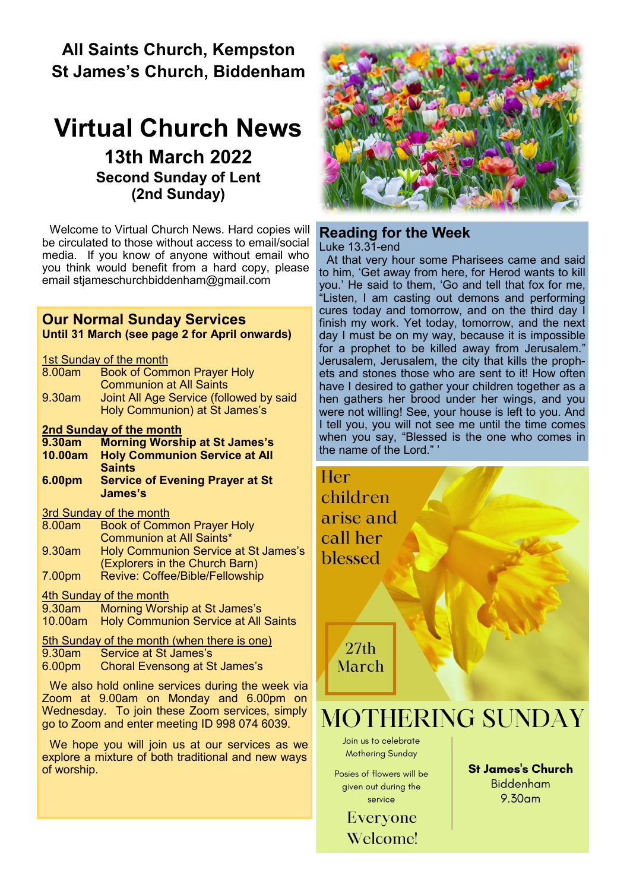## **All Saints Church, Kempston St James's Church, Biddenham**

# **Virtual Church News 13th March 2022 Second Sunday of Lent (2nd Sunday)**

Welcome to Virtual Church News. Hard copies will be circulated to those without access to email/social media. If you know of anyone without email who you think would benefit from a hard copy, please email [stjameschurchbiddenham@gmail.com](mailto:Jacqui.piper@btinternet.com) 

#### **Our Normal Sunday Services Until 31 March (see page 2 for April onwards)**

1st Sunday of the month

| 8.00am | <b>Book of Common Prayer Holy</b>       |
|--------|-----------------------------------------|
|        | <b>Communion at All Saints</b>          |
| 9.30am | Joint All Age Service (followed by said |
|        | Holy Communion) at St James's           |

#### **2nd Sunday of the month**

**9.30am Morning Worship at St James's 10.00am Holy Communion Service at All** 

**Saints 6.00pm Service of Evening Prayer at St James's**

#### 3rd Sunday of the month

| 8.00am | <b>Book of Common Prayer Holy</b>    |
|--------|--------------------------------------|
|        | <b>Communion at All Saints*</b>      |
| 9.30am | Holy Communion Service at St James's |
|        | (Explorers in the Church Barn)       |
| 7.00pm | Revive: Coffee/Bible/Fellowship      |

#### 4th Sunday of the month

9.30am Morning Worship at St James's 10.00am Holy Communion Service at All Saints

5th Sunday of the month (when there is one)<br>9.30am Service at St James's

- Service at St James's
- 6.00pm Choral Evensong at St James's

We also hold online services during the week via Zoom at 9.00am on Monday and 6.00pm on Wednesday. To join these Zoom services, simply go to Zoom and enter meeting ID 998 074 6039.

We hope you will join us at our services as we explore a mixture of both traditional and new ways of worship.



## **Reading for the Week**

Luke 13.31-end

At that very hour some Pharisees came and said to him, 'Get away from here, for Herod wants to kill you.' He said to them, 'Go and tell that fox for me, "Listen, I am casting out demons and performing cures today and tomorrow, and on the third day I finish my work. Yet today, tomorrow, and the next day I must be on my way, because it is impossible for a prophet to be killed away from Jerusalem." Jerusalem, Jerusalem, the city that kills the prophets and stones those who are sent to it! How often have I desired to gather your children together as a hen gathers her brood under her wings, and you were not willing! See, your house is left to you. And I tell you, you will not see me until the time comes when you say, "Blessed is the one who comes in the name of the Lord."

Her: children arise and call her blessed

> $27th$ March

# **MOTHERING SUNDAY**

Join us to celebrate **Mothering Sunday** 

Posies of flowers will be given out during the service

> Everyone **Welcome!**

**St James's Church Biddenham**  $9.30<sub>am</sub>$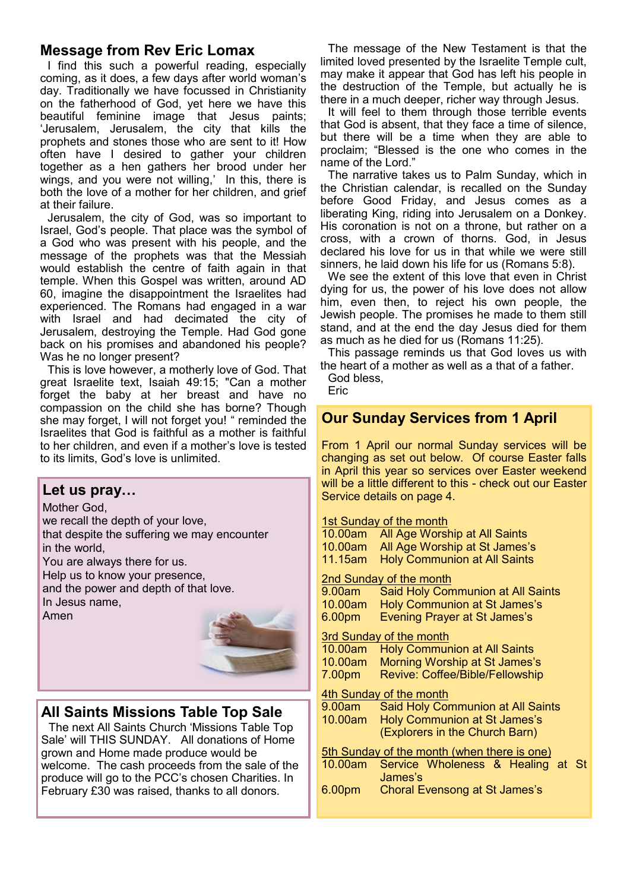## **Message from Rev Eric Lomax**

I find this such a powerful reading, especially coming, as it does, a few days after world woman's day. Traditionally we have focussed in Christianity on the fatherhood of God, yet here we have this beautiful feminine image that Jesus paints; 'Jerusalem, Jerusalem, the city that kills the prophets and stones those who are sent to it! How often have I desired to gather your children together as a hen gathers her brood under her wings, and you were not willing,' In this, there is both the love of a mother for her children, and grief at their failure.

Jerusalem, the city of God, was so important to Israel, God's people. That place was the symbol of a God who was present with his people, and the message of the prophets was that the Messiah would establish the centre of faith again in that temple. When this Gospel was written, around AD 60, imagine the disappointment the Israelites had experienced. The Romans had engaged in a war with Israel and had decimated the city of Jerusalem, destroying the Temple. Had God gone back on his promises and abandoned his people? Was he no longer present?

This is love however, a motherly love of God. That great Israelite text, Isaiah 49:15; "Can a mother forget the baby at her breast and have no compassion on the child she has borne? Though she may forget, I will not forget you! " reminded the Israelites that God is faithful as a mother is faithful to her children, and even if a mother's love is tested to its limits, God's love is unlimited.

### **Let us pray…**

Mother God, we recall the depth of your love, that despite the suffering we may encounter in the world, You are always there for us. Help us to know your presence, and the power and depth of that love. In Jesus name, Amen



## **All Saints Missions Table Top Sale**

The next All Saints Church 'Missions Table Top Sale' will THIS SUNDAY. All donations of Home grown and Home made produce would be welcome. The cash proceeds from the sale of the produce will go to the PCC's chosen Charities. In February £30 was raised, thanks to all donors.

The message of the New Testament is that the limited loved presented by the Israelite Temple cult, may make it appear that God has left his people in the destruction of the Temple, but actually he is there in a much deeper, richer way through Jesus.

It will feel to them through those terrible events that God is absent, that they face a time of silence, but there will be a time when they are able to proclaim; "Blessed is the one who comes in the name of the Lord."

The narrative takes us to Palm Sunday, which in the Christian calendar, is recalled on the Sunday before Good Friday, and Jesus comes as a liberating King, riding into Jerusalem on a Donkey. His coronation is not on a throne, but rather on a cross, with a crown of thorns. God, in Jesus declared his love for us in that while we were still sinners, he laid down his life for us (Romans 5:8).

We see the extent of this love that even in Christ dying for us, the power of his love does not allow him, even then, to reject his own people, the Jewish people. The promises he made to them still stand, and at the end the day Jesus died for them as much as he died for us (Romans 11:25).

This passage reminds us that God loves us with the heart of a mother as well as a that of a father.

God bless, Eric

## **Our Sunday Services from 1 April**

From 1 April our normal Sunday services will be changing as set out below. Of course Easter falls in April this year so services over Easter weekend will be a little different to this - check out our Easter Service details on page 4.

#### 1st Sunday of the month

| 10.00am                                     | All Age Worship at All Saints            |  |
|---------------------------------------------|------------------------------------------|--|
| 10.00am                                     | All Age Worship at St James's            |  |
| 11.15am                                     | <b>Holy Communion at All Saints</b>      |  |
| 2nd Sunday of the month                     |                                          |  |
| 9.00am                                      | <b>Said Holy Communion at All Saints</b> |  |
| 10.00am                                     | <b>Holy Communion at St James's</b>      |  |
| 6.00 <sub>pm</sub>                          | <b>Evening Prayer at St James's</b>      |  |
| 3rd Sunday of the month                     |                                          |  |
| 10.00am                                     | <b>Holy Communion at All Saints</b>      |  |
| 10.00am                                     | Morning Worship at St James's            |  |
| 7.00pm                                      | <b>Revive: Coffee/Bible/Fellowship</b>   |  |
| 4th Sunday of the month                     |                                          |  |
| 9.00am -                                    | <b>Said Holy Communion at All Saints</b> |  |
| 10.00am                                     | <b>Holy Communion at St James's</b>      |  |
|                                             | (Explorers in the Church Barn)           |  |
| 5th Sunday of the month (when there is one) |                                          |  |
| 10.00am                                     | Service Wholeness & Healing at St        |  |
|                                             | James's                                  |  |
| 6.00 <sub>pm</sub>                          | Choral Evensong at St James's            |  |
|                                             |                                          |  |
|                                             |                                          |  |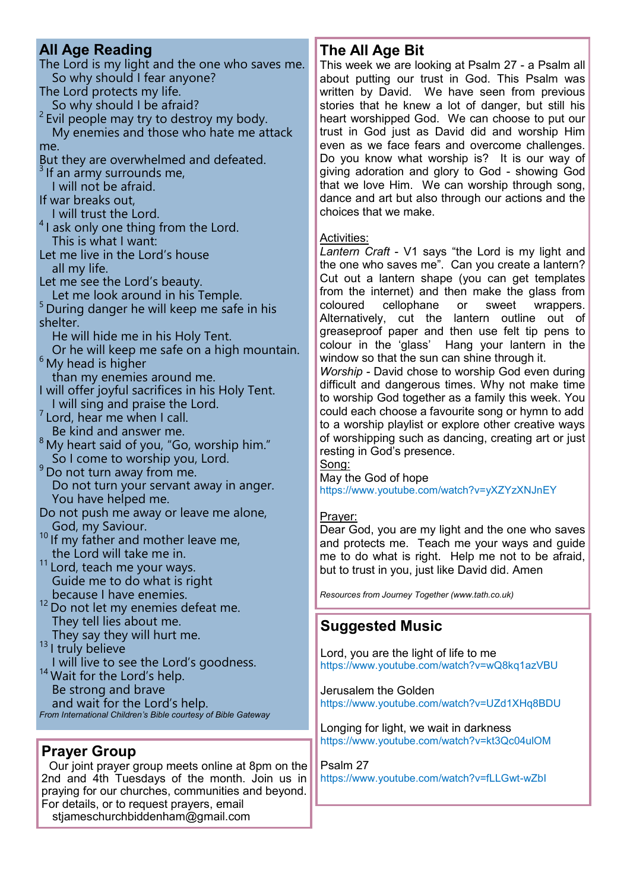## **All Age Reading**

The Lord is my light and the one who saves me. So why should I fear anyone? The Lord protects my life.

So why should I be afraid?

 $2$  Evil people may try to destroy my body. My enemies and those who hate me attack me.

But they are overwhelmed and defeated.

If an army surrounds me,

I will not be afraid.

If war breaks out,

I will trust the Lord.

 $4$ I ask only one thing from the Lord. This is what I want:

Let me live in the Lord's house all my life.

Let me see the Lord's beauty.

Let me look around in his Temple.

<sup>5</sup> During danger he will keep me safe in his shelter.

He will hide me in his Holy Tent.

 Or he will keep me safe on a high mountain. <sup>6</sup> My head is higher

than my enemies around me.

I will offer joyful sacrifices in his Holy Tent. I will sing and praise the Lord.

 $7$  Lord, hear me when I call. Be kind and answer me.

 $8$  My heart said of you, "Go, worship him." So I come to worship you, Lord.

<sup>9</sup> Do not turn away from me. Do not turn your servant away in anger. You have helped me.

- Do not push me away or leave me alone, God, my Saviour.
- <sup>10</sup> If my father and mother leave me, the Lord will take me in.
- <sup>11</sup> Lord, teach me your ways. Guide me to do what is right because I have enemies.

<sup>12</sup> Do not let my enemies defeat me. They tell lies about me.

 They say they will hurt me. <sup>13</sup> I truly believe

 I will live to see the Lord's goodness. <sup>14</sup> Wait for the Lord's help. Be strong and brave and wait for the Lord's help. *From International Children's Bible courtesy of Bible Gateway*

## **Prayer Group**

Our joint prayer group meets online at 8pm on the 2nd and 4th Tuesdays of the month. Join us in praying for our churches, communities and beyond. For details, or to request prayers, email

stjameschurchbiddenham@gmail.com

## **The All Age Bit**

This week we are looking at Psalm 27 - a Psalm all about putting our trust in God. This Psalm was written by David. We have seen from previous stories that he knew a lot of danger, but still his heart worshipped God. We can choose to put our trust in God just as David did and worship Him even as we face fears and overcome challenges. Do you know what worship is? It is our way of giving adoration and glory to God - showing God that we love Him. We can worship through song, dance and art but also through our actions and the choices that we make.

#### Activities:

*Lantern Craft* - V1 says "the Lord is my light and the one who saves me". Can you create a lantern? Cut out a lantern shape (you can get templates from the internet) and then make the glass from coloured cellophane or sweet wrappers. Alternatively, cut the lantern outline out of greaseproof paper and then use felt tip pens to colour in the 'glass' Hang your lantern in the window so that the sun can shine through it.

*Worship -* David chose to worship God even during difficult and dangerous times. Why not make time to worship God together as a family this week. You could each choose a favourite song or hymn to add to a worship playlist or explore other creative ways of worshipping such as dancing, creating art or just resting in God's presence.

Song:

May the God of hope https://www.youtube.com/watch?v=yXZYzXNJnEY

#### Prayer:

Dear God, you are my light and the one who saves and protects me. Teach me your ways and guide me to do what is right. Help me not to be afraid, but to trust in you, just like David did. Amen

*Resources from Journey Together (www.tath.co.uk)*

## **Suggested Music**

Lord, you are the light of life to me https://www.youtube.com/watch?v=wQ8kq1azVBU

Jerusalem the Golden https://www.youtube.com/watch?v=UZd1XHq8BDU

Longing for light, we wait in darkness https://www.youtube.com/watch?v=kt3Qc04ulOM

Psalm 27 https://www.youtube.com/watch?v=fLLGwt-wZbI